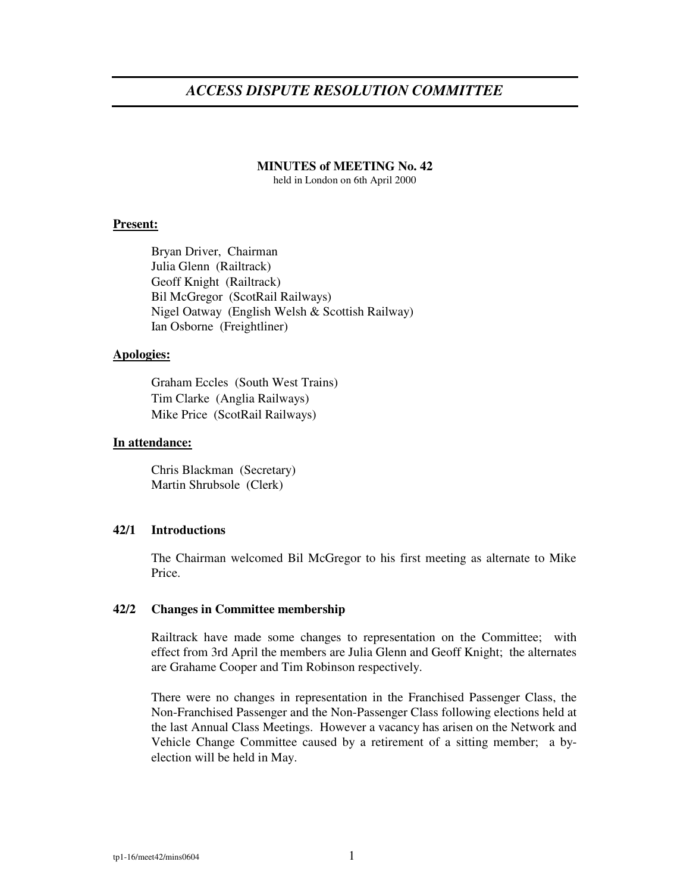# *ACCESS DISPUTE RESOLUTION COMMITTEE*

# **MINUTES of MEETING No. 42**

held in London on 6th April 2000

# **Present:**

Bryan Driver, Chairman Julia Glenn (Railtrack) Geoff Knight (Railtrack) Bil McGregor (ScotRail Railways) Nigel Oatway (English Welsh & Scottish Railway) Ian Osborne (Freightliner)

#### **Apologies:**

Graham Eccles (South West Trains) Tim Clarke (Anglia Railways) Mike Price (ScotRail Railways)

### **In attendance:**

Chris Blackman (Secretary) Martin Shrubsole (Clerk)

## **42/1 Introductions**

The Chairman welcomed Bil McGregor to his first meeting as alternate to Mike Price.

### **42/2 Changes in Committee membership**

Railtrack have made some changes to representation on the Committee; with effect from 3rd April the members are Julia Glenn and Geoff Knight; the alternates are Grahame Cooper and Tim Robinson respectively.

There were no changes in representation in the Franchised Passenger Class, the Non-Franchised Passenger and the Non-Passenger Class following elections held at the last Annual Class Meetings. However a vacancy has arisen on the Network and Vehicle Change Committee caused by a retirement of a sitting member; a byelection will be held in May.